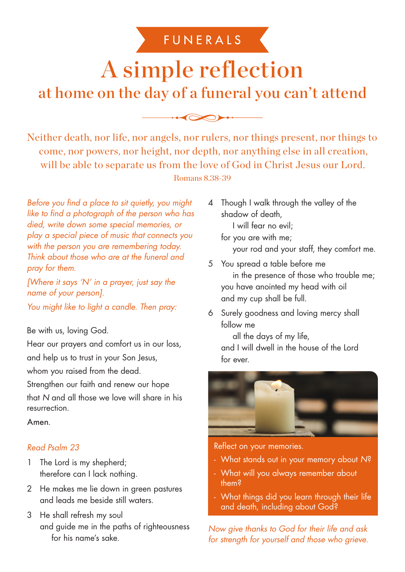# FUNERALS

# A simple reflection at home on the day of a funeral you can't attend

Neither death, nor life, nor angels, nor rulers, nor things present, nor things to come, nor powers, nor height, nor depth, nor anything else in all creation, will be able to separate us from the love of God in Christ Jesus our Lord. Romans 8.38-39

Before you find a place to sit quietly, you might like to find a photograph of the person who has died, write down some special memories, or play a special piece of music that connects you with the person you are remembering today. Think about those who are at the funeral and pray for them.

[Where it says 'N' in a prayer, just say the name of your person].

You might like to light a candle. Then pray:

## Be with us, loving God.

Hear our prayers and comfort us in our loss,

and help us to trust in your Son Jesus,

whom you raised from the dead.

Strengthen our faith and renew our hope that N and all those we love will share in his resurrection.

Amen.

# Read Psalm 23

- 1 The Lord is my shepherd; therefore can I lack nothing.
- 2 He makes me lie down in green pastures and leads me beside still waters.
- 3 He shall refresh my soul and guide me in the paths of righteousness for his name's sake.

4 Though I walk through the valley of the shadow of death,

I will fear no evil; for you are with me;

your rod and your staff, they comfort me.

- 5 You spread a table before me in the presence of those who trouble me; you have anointed my head with oil and my cup shall be full.
- 6 Surely goodness and loving mercy shall follow me

all the days of my life, and I will dwell in the house of the Lord for ever.



Reflect on your memories.

- What stands out in your memory about N?
- What will you always remember about them?
- What things did you learn through their life and death, including about God?

Now give thanks to God for their life and ask for strength for yourself and those who grieve.